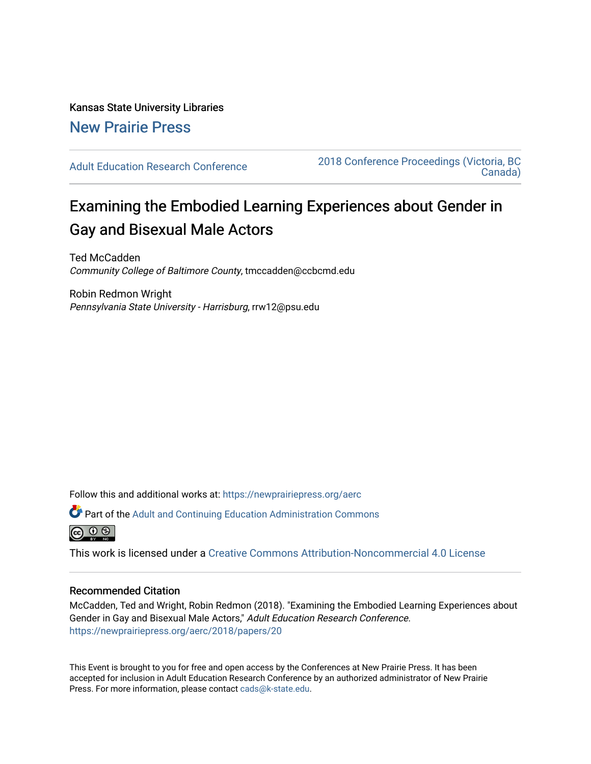# Kansas State University Libraries [New Prairie Press](https://newprairiepress.org/)

[Adult Education Research Conference](https://newprairiepress.org/aerc) [2018 Conference Proceedings \(Victoria, BC](https://newprairiepress.org/aerc/2018)  [Canada\)](https://newprairiepress.org/aerc/2018) 

# Examining the Embodied Learning Experiences about Gender in Gay and Bisexual Male Actors

Ted McCadden Community College of Baltimore County, tmccadden@ccbcmd.edu

Robin Redmon Wright Pennsylvania State University - Harrisburg, rrw12@psu.edu

Follow this and additional works at: [https://newprairiepress.org/aerc](https://newprairiepress.org/aerc?utm_source=newprairiepress.org%2Faerc%2F2018%2Fpapers%2F20&utm_medium=PDF&utm_campaign=PDFCoverPages)

Part of the [Adult and Continuing Education Administration Commons](http://network.bepress.com/hgg/discipline/789?utm_source=newprairiepress.org%2Faerc%2F2018%2Fpapers%2F20&utm_medium=PDF&utm_campaign=PDFCoverPages)



This work is licensed under a [Creative Commons Attribution-Noncommercial 4.0 License](https://creativecommons.org/licenses/by-nc/4.0/)

## Recommended Citation

McCadden, Ted and Wright, Robin Redmon (2018). "Examining the Embodied Learning Experiences about Gender in Gay and Bisexual Male Actors," Adult Education Research Conference. <https://newprairiepress.org/aerc/2018/papers/20>

This Event is brought to you for free and open access by the Conferences at New Prairie Press. It has been accepted for inclusion in Adult Education Research Conference by an authorized administrator of New Prairie Press. For more information, please contact [cads@k-state.edu.](mailto:cads@k-state.edu)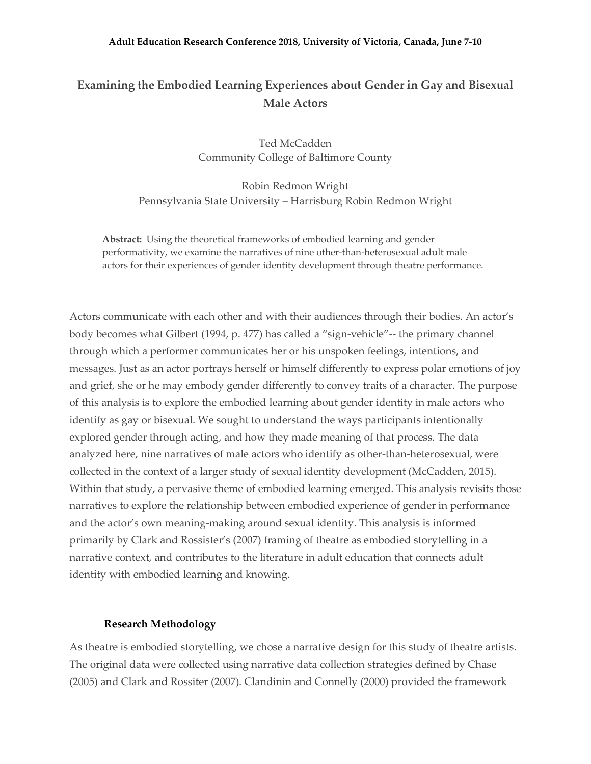#### **Adult Education Research Conference 2018, University of Victoria, Canada, June 7-10**

# **Examining the Embodied Learning Experiences about Gender in Gay and Bisexual Male Actors**

Ted McCadden Community College of Baltimore County

Robin Redmon Wright Pennsylvania State University – Harrisburg Robin Redmon Wright

**Abstract:** Using the theoretical frameworks of embodied learning and gender performativity, we examine the narratives of nine other-than-heterosexual adult male actors for their experiences of gender identity development through theatre performance.

Actors communicate with each other and with their audiences through their bodies. An actor's body becomes what Gilbert (1994, p. 477) has called a "sign-vehicle"-- the primary channel through which a performer communicates her or his unspoken feelings, intentions, and messages. Just as an actor portrays herself or himself differently to express polar emotions of joy and grief, she or he may embody gender differently to convey traits of a character. The purpose of this analysis is to explore the embodied learning about gender identity in male actors who identify as gay or bisexual. We sought to understand the ways participants intentionally explored gender through acting, and how they made meaning of that process. The data analyzed here, nine narratives of male actors who identify as other-than-heterosexual, were collected in the context of a larger study of sexual identity development (McCadden, 2015). Within that study, a pervasive theme of embodied learning emerged. This analysis revisits those narratives to explore the relationship between embodied experience of gender in performance and the actor's own meaning-making around sexual identity. This analysis is informed primarily by Clark and Rossister's (2007) framing of theatre as embodied storytelling in a narrative context, and contributes to the literature in adult education that connects adult identity with embodied learning and knowing.

#### **Research Methodology**

As theatre is embodied storytelling, we chose a narrative design for this study of theatre artists. The original data were collected using narrative data collection strategies defined by Chase (2005) and Clark and Rossiter (2007). Clandinin and Connelly (2000) provided the framework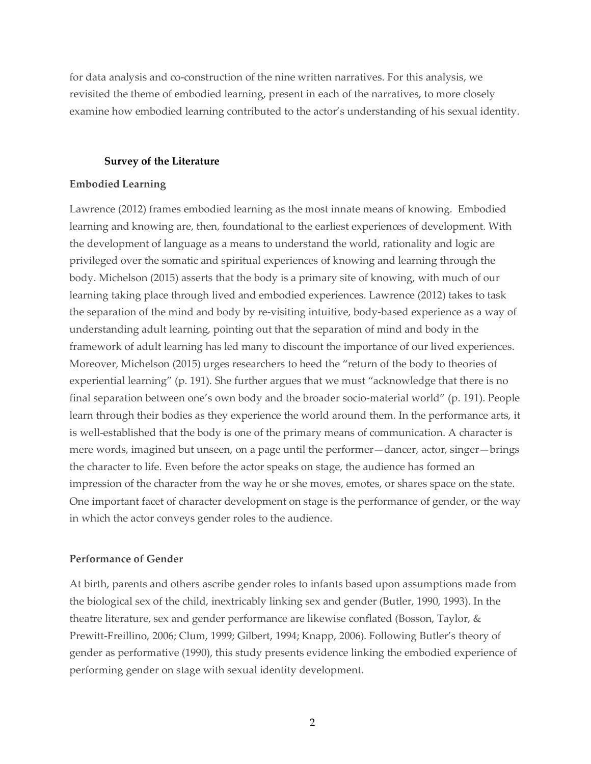for data analysis and co-construction of the nine written narratives. For this analysis, we revisited the theme of embodied learning, present in each of the narratives, to more closely examine how embodied learning contributed to the actor's understanding of his sexual identity.

#### **Survey of the Literature**

#### **Embodied Learning**

Lawrence (2012) frames embodied learning as the most innate means of knowing. Embodied learning and knowing are, then, foundational to the earliest experiences of development. With the development of language as a means to understand the world, rationality and logic are privileged over the somatic and spiritual experiences of knowing and learning through the body. Michelson (2015) asserts that the body is a primary site of knowing, with much of our learning taking place through lived and embodied experiences. Lawrence (2012) takes to task the separation of the mind and body by re-visiting intuitive, body-based experience as a way of understanding adult learning, pointing out that the separation of mind and body in the framework of adult learning has led many to discount the importance of our lived experiences. Moreover, Michelson (2015) urges researchers to heed the "return of the body to theories of experiential learning" (p. 191). She further argues that we must "acknowledge that there is no final separation between one's own body and the broader socio-material world" (p. 191). People learn through their bodies as they experience the world around them. In the performance arts, it is well-established that the body is one of the primary means of communication. A character is mere words, imagined but unseen, on a page until the performer—dancer, actor, singer—brings the character to life. Even before the actor speaks on stage, the audience has formed an impression of the character from the way he or she moves, emotes, or shares space on the state. One important facet of character development on stage is the performance of gender, or the way in which the actor conveys gender roles to the audience.

#### **Performance of Gender**

At birth, parents and others ascribe gender roles to infants based upon assumptions made from the biological sex of the child, inextricably linking sex and gender (Butler, 1990, 1993). In the theatre literature, sex and gender performance are likewise conflated (Bosson, Taylor, & Prewitt-Freillino, 2006; Clum, 1999; Gilbert, 1994; Knapp, 2006). Following Butler's theory of gender as performative (1990), this study presents evidence linking the embodied experience of performing gender on stage with sexual identity development.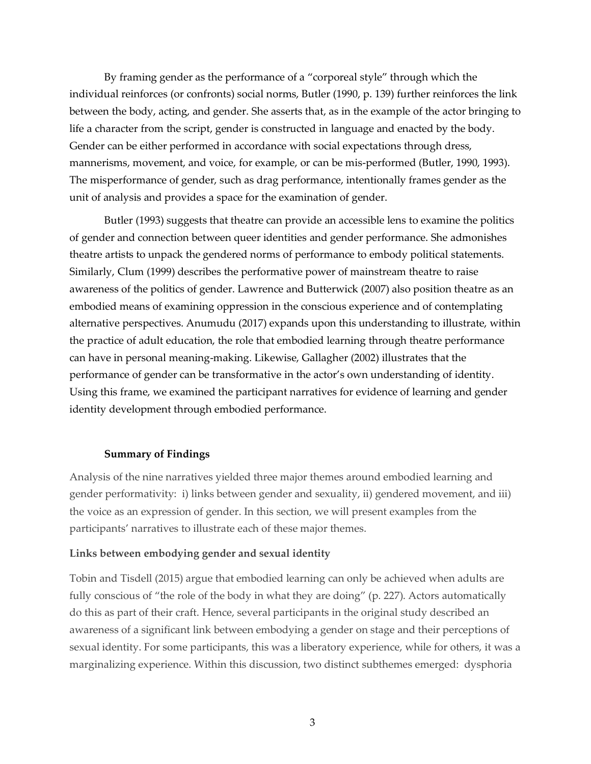By framing gender as the performance of a "corporeal style" through which the individual reinforces (or confronts) social norms, Butler (1990, p. 139) further reinforces the link between the body, acting, and gender. She asserts that, as in the example of the actor bringing to life a character from the script, gender is constructed in language and enacted by the body. Gender can be either performed in accordance with social expectations through dress, mannerisms, movement, and voice, for example, or can be mis-performed (Butler, 1990, 1993). The misperformance of gender, such as drag performance, intentionally frames gender as the unit of analysis and provides a space for the examination of gender.

Butler (1993) suggests that theatre can provide an accessible lens to examine the politics of gender and connection between queer identities and gender performance. She admonishes theatre artists to unpack the gendered norms of performance to embody political statements. Similarly, Clum (1999) describes the performative power of mainstream theatre to raise awareness of the politics of gender. Lawrence and Butterwick (2007) also position theatre as an embodied means of examining oppression in the conscious experience and of contemplating alternative perspectives. Anumudu (2017) expands upon this understanding to illustrate, within the practice of adult education, the role that embodied learning through theatre performance can have in personal meaning-making. Likewise, Gallagher (2002) illustrates that the performance of gender can be transformative in the actor's own understanding of identity. Using this frame, we examined the participant narratives for evidence of learning and gender identity development through embodied performance.

## **Summary of Findings**

Analysis of the nine narratives yielded three major themes around embodied learning and gender performativity: i) links between gender and sexuality, ii) gendered movement, and iii) the voice as an expression of gender. In this section, we will present examples from the participants' narratives to illustrate each of these major themes.

## **Links between embodying gender and sexual identity**

Tobin and Tisdell (2015) argue that embodied learning can only be achieved when adults are fully conscious of "the role of the body in what they are doing" (p. 227). Actors automatically do this as part of their craft. Hence, several participants in the original study described an awareness of a significant link between embodying a gender on stage and their perceptions of sexual identity. For some participants, this was a liberatory experience, while for others, it was a marginalizing experience. Within this discussion, two distinct subthemes emerged: dysphoria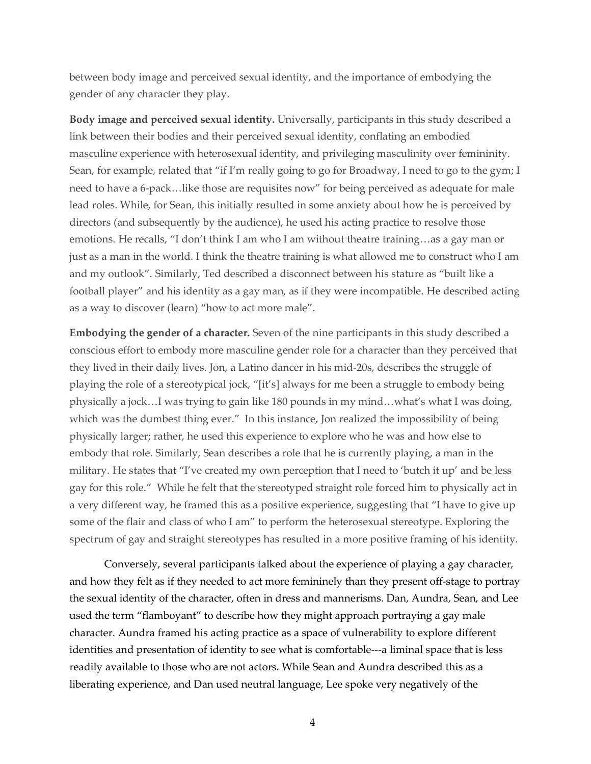between body image and perceived sexual identity, and the importance of embodying the gender of any character they play.

**Body image and perceived sexual identity.** Universally, participants in this study described a link between their bodies and their perceived sexual identity, conflating an embodied masculine experience with heterosexual identity, and privileging masculinity over femininity. Sean, for example, related that "if I'm really going to go for Broadway, I need to go to the gym; I need to have a 6-pack…like those are requisites now" for being perceived as adequate for male lead roles. While, for Sean, this initially resulted in some anxiety about how he is perceived by directors (and subsequently by the audience), he used his acting practice to resolve those emotions. He recalls, "I don't think I am who I am without theatre training…as a gay man or just as a man in the world. I think the theatre training is what allowed me to construct who I am and my outlook". Similarly, Ted described a disconnect between his stature as "built like a football player" and his identity as a gay man, as if they were incompatible. He described acting as a way to discover (learn) "how to act more male".

**Embodying the gender of a character.** Seven of the nine participants in this study described a conscious effort to embody more masculine gender role for a character than they perceived that they lived in their daily lives. Jon, a Latino dancer in his mid-20s, describes the struggle of playing the role of a stereotypical jock, "[it's] always for me been a struggle to embody being physically a jock…I was trying to gain like 180 pounds in my mind…what's what I was doing, which was the dumbest thing ever." In this instance, Jon realized the impossibility of being physically larger; rather, he used this experience to explore who he was and how else to embody that role. Similarly, Sean describes a role that he is currently playing, a man in the military. He states that "I've created my own perception that I need to 'butch it up' and be less gay for this role." While he felt that the stereotyped straight role forced him to physically act in a very different way, he framed this as a positive experience, suggesting that "I have to give up some of the flair and class of who I am" to perform the heterosexual stereotype. Exploring the spectrum of gay and straight stereotypes has resulted in a more positive framing of his identity.

Conversely, several participants talked about the experience of playing a gay character, and how they felt as if they needed to act more femininely than they present off-stage to portray the sexual identity of the character, often in dress and mannerisms. Dan, Aundra, Sean, and Lee used the term "flamboyant" to describe how they might approach portraying a gay male character. Aundra framed his acting practice as a space of vulnerability to explore different identities and presentation of identity to see what is comfortable---a liminal space that is less readily available to those who are not actors. While Sean and Aundra described this as a liberating experience, and Dan used neutral language, Lee spoke very negatively of the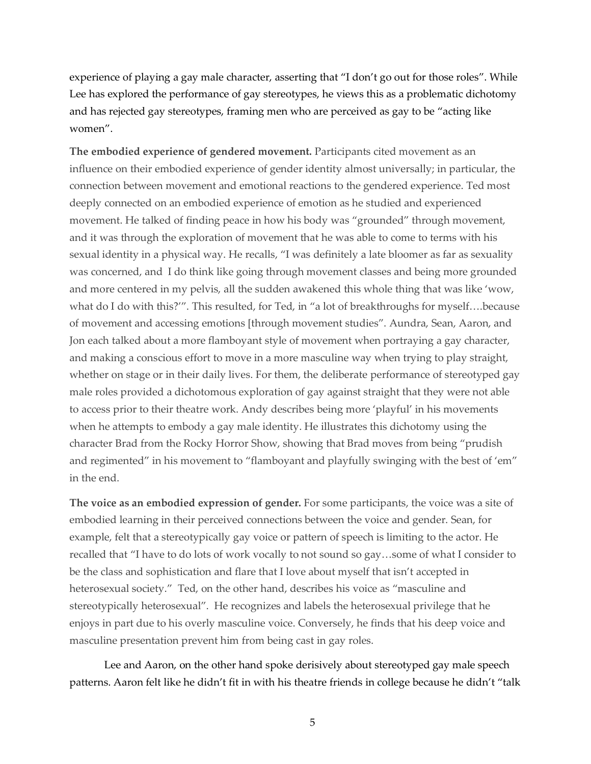experience of playing a gay male character, asserting that "I don't go out for those roles". While Lee has explored the performance of gay stereotypes, he views this as a problematic dichotomy and has rejected gay stereotypes, framing men who are perceived as gay to be "acting like women".

**The embodied experience of gendered movement.** Participants cited movement as an influence on their embodied experience of gender identity almost universally; in particular, the connection between movement and emotional reactions to the gendered experience. Ted most deeply connected on an embodied experience of emotion as he studied and experienced movement. He talked of finding peace in how his body was "grounded" through movement, and it was through the exploration of movement that he was able to come to terms with his sexual identity in a physical way. He recalls, "I was definitely a late bloomer as far as sexuality was concerned, and I do think like going through movement classes and being more grounded and more centered in my pelvis, all the sudden awakened this whole thing that was like 'wow, what do I do with this?"'. This resulted, for Ted, in "a lot of breakthroughs for myself....because of movement and accessing emotions [through movement studies". Aundra, Sean, Aaron, and Jon each talked about a more flamboyant style of movement when portraying a gay character, and making a conscious effort to move in a more masculine way when trying to play straight, whether on stage or in their daily lives. For them, the deliberate performance of stereotyped gay male roles provided a dichotomous exploration of gay against straight that they were not able to access prior to their theatre work. Andy describes being more 'playful' in his movements when he attempts to embody a gay male identity. He illustrates this dichotomy using the character Brad from the Rocky Horror Show, showing that Brad moves from being "prudish and regimented" in his movement to "flamboyant and playfully swinging with the best of 'em" in the end.

**The voice as an embodied expression of gender.** For some participants, the voice was a site of embodied learning in their perceived connections between the voice and gender. Sean, for example, felt that a stereotypically gay voice or pattern of speech is limiting to the actor. He recalled that "I have to do lots of work vocally to not sound so gay…some of what I consider to be the class and sophistication and flare that I love about myself that isn't accepted in heterosexual society." Ted, on the other hand, describes his voice as "masculine and stereotypically heterosexual". He recognizes and labels the heterosexual privilege that he enjoys in part due to his overly masculine voice. Conversely, he finds that his deep voice and masculine presentation prevent him from being cast in gay roles.

Lee and Aaron, on the other hand spoke derisively about stereotyped gay male speech patterns. Aaron felt like he didn't fit in with his theatre friends in college because he didn't "talk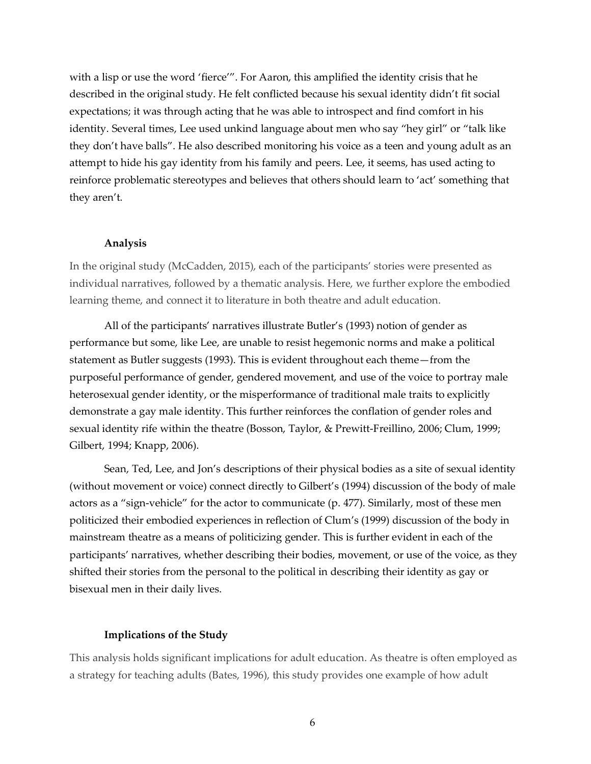with a lisp or use the word 'fierce'". For Aaron, this amplified the identity crisis that he described in the original study. He felt conflicted because his sexual identity didn't fit social expectations; it was through acting that he was able to introspect and find comfort in his identity. Several times, Lee used unkind language about men who say "hey girl" or "talk like they don't have balls". He also described monitoring his voice as a teen and young adult as an attempt to hide his gay identity from his family and peers. Lee, it seems, has used acting to reinforce problematic stereotypes and believes that others should learn to 'act' something that they aren't.

#### **Analysis**

In the original study (McCadden, 2015), each of the participants' stories were presented as individual narratives, followed by a thematic analysis. Here, we further explore the embodied learning theme, and connect it to literature in both theatre and adult education.

All of the participants' narratives illustrate Butler's (1993) notion of gender as performance but some, like Lee, are unable to resist hegemonic norms and make a political statement as Butler suggests (1993). This is evident throughout each theme—from the purposeful performance of gender, gendered movement, and use of the voice to portray male heterosexual gender identity, or the misperformance of traditional male traits to explicitly demonstrate a gay male identity. This further reinforces the conflation of gender roles and sexual identity rife within the theatre (Bosson, Taylor, & Prewitt-Freillino, 2006; Clum, 1999; Gilbert, 1994; Knapp, 2006).

Sean, Ted, Lee, and Jon's descriptions of their physical bodies as a site of sexual identity (without movement or voice) connect directly to Gilbert's (1994) discussion of the body of male actors as a "sign-vehicle" for the actor to communicate (p. 477). Similarly, most of these men politicized their embodied experiences in reflection of Clum's (1999) discussion of the body in mainstream theatre as a means of politicizing gender. This is further evident in each of the participants' narratives, whether describing their bodies, movement, or use of the voice, as they shifted their stories from the personal to the political in describing their identity as gay or bisexual men in their daily lives.

#### **Implications of the Study**

This analysis holds significant implications for adult education. As theatre is often employed as a strategy for teaching adults (Bates, 1996), this study provides one example of how adult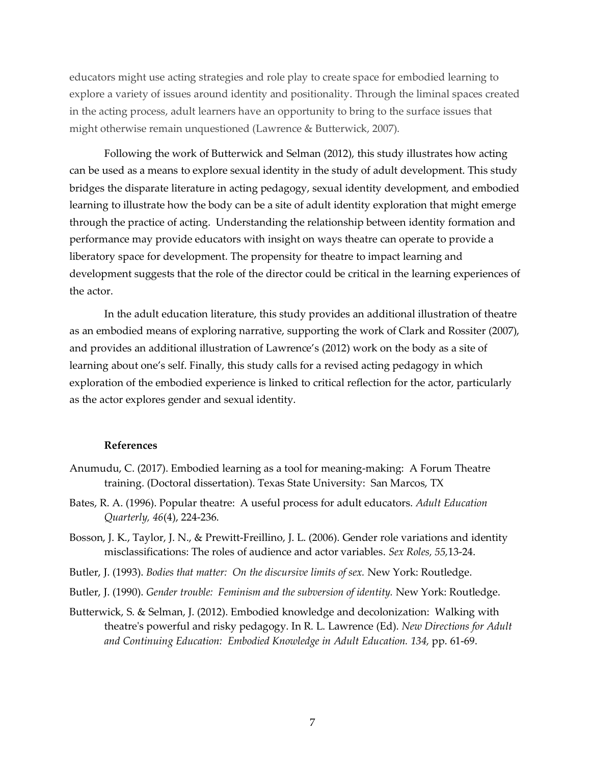educators might use acting strategies and role play to create space for embodied learning to explore a variety of issues around identity and positionality. Through the liminal spaces created in the acting process, adult learners have an opportunity to bring to the surface issues that might otherwise remain unquestioned (Lawrence & Butterwick, 2007).

Following the work of Butterwick and Selman (2012), this study illustrates how acting can be used as a means to explore sexual identity in the study of adult development. This study bridges the disparate literature in acting pedagogy, sexual identity development, and embodied learning to illustrate how the body can be a site of adult identity exploration that might emerge through the practice of acting. Understanding the relationship between identity formation and performance may provide educators with insight on ways theatre can operate to provide a liberatory space for development. The propensity for theatre to impact learning and development suggests that the role of the director could be critical in the learning experiences of the actor.

In the adult education literature, this study provides an additional illustration of theatre as an embodied means of exploring narrative, supporting the work of Clark and Rossiter (2007), and provides an additional illustration of Lawrence's (2012) work on the body as a site of learning about one's self. Finally, this study calls for a revised acting pedagogy in which exploration of the embodied experience is linked to critical reflection for the actor, particularly as the actor explores gender and sexual identity.

#### **References**

- Anumudu, C. (2017). Embodied learning as a tool for meaning-making: A Forum Theatre training. (Doctoral dissertation). Texas State University: San Marcos, TX
- Bates, R. A. (1996). Popular theatre: A useful process for adult educators. *Adult Education Quarterly, 46*(4), 224-236.
- Bosson, J. K., Taylor, J. N., & Prewitt-Freillino, J. L. (2006). Gender role variations and identity misclassifications: The roles of audience and actor variables. *Sex Roles, 55,*13-24.
- Butler, J. (1993). *Bodies that matter: On the discursive limits of sex.* New York: Routledge.

Butler, J. (1990). *Gender trouble: Feminism and the subversion of identity.* New York: Routledge.

Butterwick, S. & Selman, J. (2012). Embodied knowledge and decolonization: Walking with theatre's powerful and risky pedagogy. In R. L. Lawrence (Ed). *New Directions for Adult and Continuing Education: Embodied Knowledge in Adult Education. 134,* pp. 61-69.